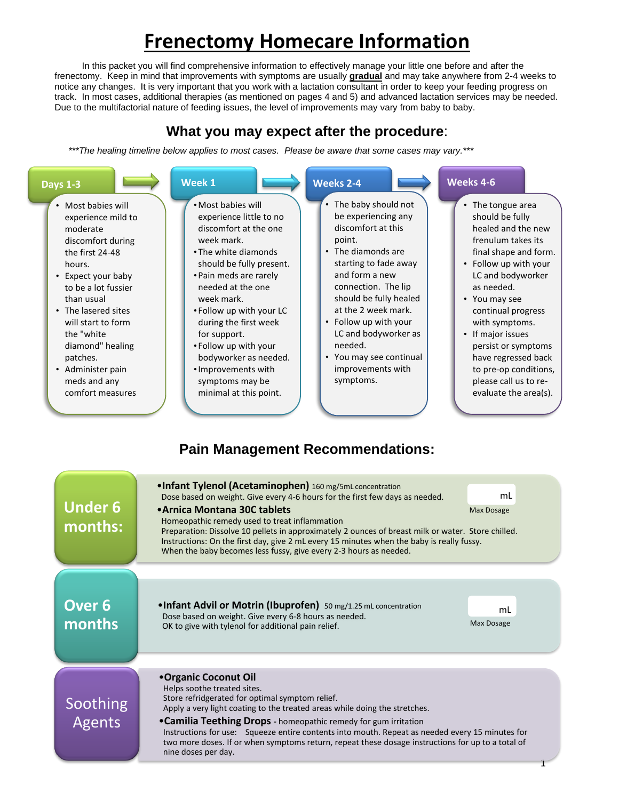# **Frenectomy Homecare Information**

In this packet you will find comprehensive information to effectively manage your little one before and after the frenectomy. Keep in mind that improvements with symptoms are usually **gradual** and may take anywhere from 2-4 weeks to notice any changes. It is very important that you work with a lactation consultant in order to keep your feeding progress on track. In most cases, additional therapies (as mentioned on pages 4 and 5) and advanced lactation services may be needed. Due to the multifactorial nature of feeding issues, the level of improvements may vary from baby to baby.

## **What you may expect after the procedure**:

*\*\*\*The healing timeline below applies to most cases. Please be aware that some cases may vary.\*\*\**

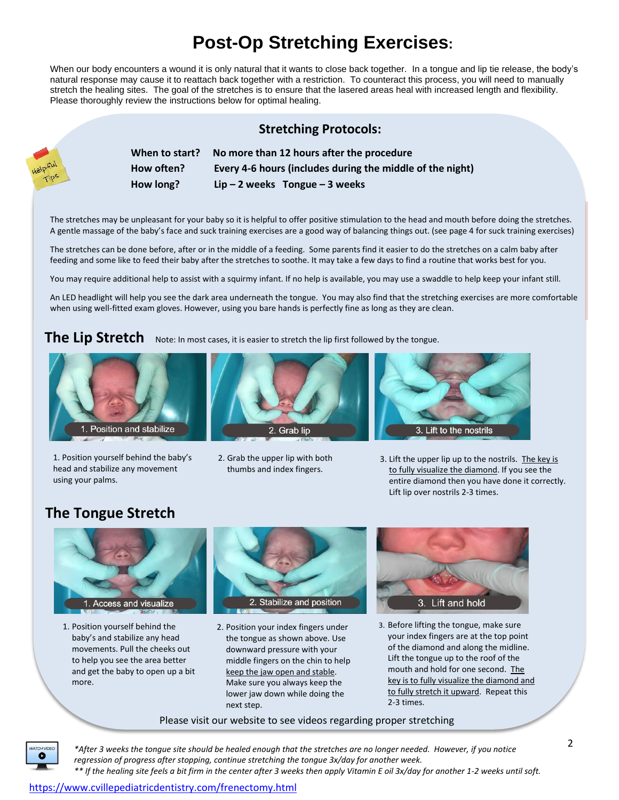## **Post-Op Stretching Exercises:**

When our body encounters a wound it is only natural that it wants to close back together. In a tongue and lip tie release, the body's natural response may cause it to reattach back together with a restriction. To counteract this process, you will need to manually stretch the healing sites. The goal of the stretches is to ensure that the lasered areas heal with increased length and flexibility. Please thoroughly review the instructions below for optimal healing.

## **Stretching Protocols:**

 **How often? Every 4-6 hours (includes during the middle of the night) When to start? No more than 12 hours after the procedure How long? Lip – 2 weeks Tongue – 3 weeks**

The stretches may be unpleasant for your baby so it is helpful to offer positive stimulation to the head and mouth before doing the stretches. A gentle massage of the baby's face and suck training exercises are a good way of balancing things out. (see page 4 for suck training exercises)

The stretches can be done before, after or in the middle of a feeding. Some parents find it easier to do the stretches on a calm baby after feeding and some like to feed their baby after the stretches to soothe. It may take a few days to find a routine that works best for you.

You may require additional help to assist with a squirmy infant. If no help is available, you may use a swaddle to help keep your infant still.

An LED headlight will help you see the dark area underneath the tongue. You may also find that the stretching exercises are more comfortable when using well-fitted exam gloves. However, using you bare hands is perfectly fine as long as they are clean.

The Lip Stretch Note: In most cases, it is easier to stretch the lip first followed by the tongue.



- 1. Position yourself behind the baby's head and stabilize any movement using your palms.
- 2. Grab the upper lip with both thumbs and index fingers.
- 3. Lift the upper lip up to the nostrils. The key is to fully visualize the diamond. If you see the entire diamond then you have done it correctly. Lift lip over nostrils 2-3 times.

## **The Tongue Stretch**



1. Position yourself behind the baby's and stabilize any head movements. Pull the cheeks out to help you see the area better and get the baby to open up a bit more.



2. Position your index fingers under the tongue as shown above. Use downward pressure with your middle fingers on the chin to help keep the jaw open and stable. Make sure you always keep the lower jaw down while doing the next step.



3. Before lifting the tongue, make sure your index fingers are at the top point of the diamond and along the midline. Lift the tongue up to the roof of the mouth and hold for one second. The key is to fully visualize the diamond and to fully stretch it upward. Repeat this 2-3 times.

Please visit our website to see videos regarding proper stretching

**ATCH VIDEO** Q

*\*After 3 weeks the tongue site should be healed enough that the stretches are no longer needed. However, if you notice regression of progress after stopping, continue stretching the tongue 3x/day for another week. \*\* If the healing site feels a bit firm in the center after 3 weeks then apply Vitamin E oil 3x/day for another 1-2 weeks until soft.*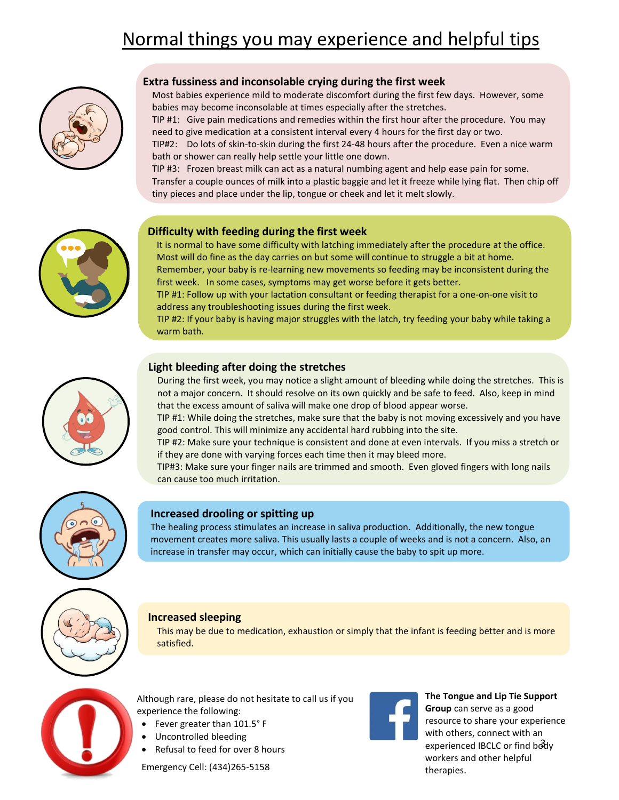

### **Extra fussiness and inconsolable crying during the first week**

Most babies experience mild to moderate discomfort during the first few days. However, some babies may become inconsolable at times especially after the stretches.

TIP #1: Give pain medications and remedies within the first hour after the procedure. You may need to give medication at a consistent interval every 4 hours for the first day or two.

TIP#2: Do lots of skin-to-skin during the first 24-48 hours after the procedure. Even a nice warm bath or shower can really help settle your little one down.

TIP #3: Frozen breast milk can act as a natural numbing agent and help ease pain for some. Transfer a couple ounces of milk into a plastic baggie and let it freeze while lying flat. Then chip off tiny pieces and place under the lip, tongue or cheek and let it melt slowly.



### **Difficulty with feeding during the first week**

It is normal to have some difficulty with latching immediately after the procedure at the office. Most will do fine as the day carries on but some will continue to struggle a bit at home. Remember, your baby is re-learning new movements so feeding may be inconsistent during the

first week. In some cases, symptoms may get worse before it gets better. TIP #1: Follow up with your lactation consultant or feeding therapist for a one-on-one visit to address any troubleshooting issues during the first week.

TIP #2: If your baby is having major struggles with the latch, try feeding your baby while taking a warm bath.



### **Light bleeding after doing the stretches**

During the first week, you may notice a slight amount of bleeding while doing the stretches. This is not a major concern. It should resolve on its own quickly and be safe to feed. Also, keep in mind that the excess amount of saliva will make one drop of blood appear worse.

TIP #1: While doing the stretches, make sure that the baby is not moving excessively and you have good control. This will minimize any accidental hard rubbing into the site.

TIP #2: Make sure your technique is consistent and done at even intervals. If you miss a stretch or if they are done with varying forces each time then it may bleed more.

TIP#3: Make sure your finger nails are trimmed and smooth. Even gloved fingers with long nails can cause too much irritation.



### **Increased drooling or spitting up**

The healing process stimulates an increase in saliva production. Additionally, the new tongue movement creates more saliva. This usually lasts a couple of weeks and is not a concern. Also, an increase in transfer may occur, which can initially cause the baby to spit up more.



#### **Increased sleeping**

This may be due to medication, exhaustion or simply that the infant is feeding better and is more satisfied.



Although rare, please do not hesitate to call us if you experience the following:

- Fever greater than 101.5° F
- Uncontrolled bleeding
- Refusal to feed for over 8 hours

Emergency Cell: (434)265-5158



experienced IBCLC or find body **The Tongue and Lip Tie Support Group** can serve as a good resource to share your experience with others, connect with an workers and other helpful therapies.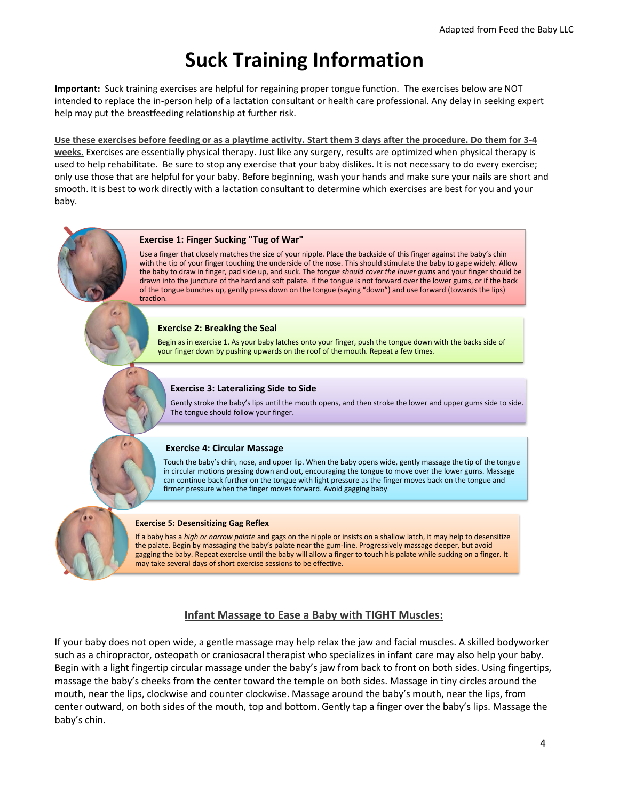## **Suck Training Information**

**Important:** Suck training exercises are helpful for regaining proper tongue function. The exercises below are NOT intended to replace the in-person help of a lactation consultant or health care professional. Any delay in seeking expert help may put the breastfeeding relationship at further risk.

**Use these exercises before feeding or as a playtime activity. Start them 3 days after the procedure. Do them for 3-4 weeks.** Exercises are essentially physical therapy. Just like any surgery, results are optimized when physical therapy is used to help rehabilitate. Be sure to stop any exercise that your baby dislikes. It is not necessary to do every exercise; only use those that are helpful for your baby. Before beginning, wash your hands and make sure your nails are short and smooth. It is best to work directly with a lactation consultant to determine which exercises are best for you and your baby.

#### **Exercise 1: Finger Sucking "Tug of War"**

Use a finger that closely matches the size of your nipple. Place the backside of this finger against the baby's chin with the tip of your finger touching the underside of the nose. This should stimulate the baby to gape widely. Allow the baby to draw in finger, pad side up, and suck. The *tongue should cover the lower gums* and your finger should be drawn into the juncture of the hard and soft palate. If the tongue is not forward over the lower gums, or if the back of the tongue bunches up, gently press down on the tongue (saying "down") and use forward (towards the lips) traction.

#### **Exercise 2: Breaking the Seal**

Begin as in exercise 1. As your baby latches onto your finger, push the tongue down with the backs side of your finger down by pushing upwards on the roof of the mouth. Repeat a few times.

#### **Exercise 3: Lateralizing Side to Side**

Gently stroke the baby's lips until the mouth opens, and then stroke the lower and upper gums side to side. The tongue should follow your finger.

#### **Exercise 4: Circular Massage**

Touch the baby's chin, nose, and upper lip. When the baby opens wide, gently massage the tip of the tongue in circular motions pressing down and out, encouraging the tongue to move over the lower gums. Massage can continue back further on the tongue with light pressure as the finger moves back on the tongue and firmer pressure when the finger moves forward. Avoid gagging baby.

#### **Exercise 5: Desensitizing Gag Reflex**

If a baby has a *high or narrow palate* and gags on the nipple or insists on a shallow latch, it may help to desensitize the palate. Begin by massaging the baby's palate near the gum-line. Progressively massage deeper, but avoid gagging the baby. Repeat exercise until the baby will allow a finger to touch his palate while sucking on a finger. It may take several days of short exercise sessions to be effective.

#### **Infant Massage to Ease a Baby with TIGHT Muscles:**

If your baby does not open wide, a gentle massage may help relax the jaw and facial muscles. A skilled bodyworker such as a chiropractor, osteopath or craniosacral therapist who specializes in infant care may also help your baby. Begin with a light fingertip circular massage under the baby's jaw from back to front on both sides. Using fingertips, massage the baby's cheeks from the center toward the temple on both sides. Massage in tiny circles around the mouth, near the lips, clockwise and counter clockwise. Massage around the baby's mouth, near the lips, from center outward, on both sides of the mouth, top and bottom. Gently tap a finger over the baby's lips. Massage the baby's chin.